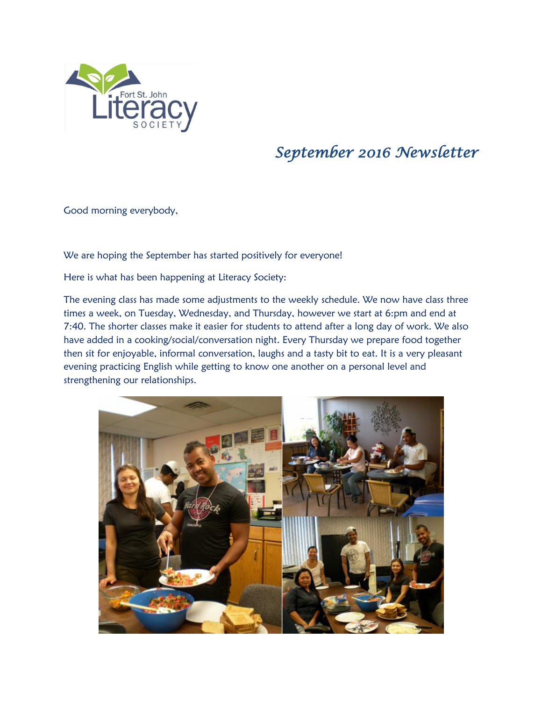

## *September 2016 Newsletter*

Good morning everybody,

We are hoping the September has started positively for everyone!

Here is what has been happening at Literacy Society:

The evening class has made some adjustments to the weekly schedule. We now have class three times a week, on Tuesday, Wednesday, and Thursday, however we start at 6:pm and end at 7:40. The shorter classes make it easier for students to attend after a long day of work. We also have added in a cooking/social/conversation night. Every Thursday we prepare food together then sit for enjoyable, informal conversation, laughs and a tasty bit to eat. It is a very pleasant evening practicing English while getting to know one another on a personal level and strengthening our relationships.